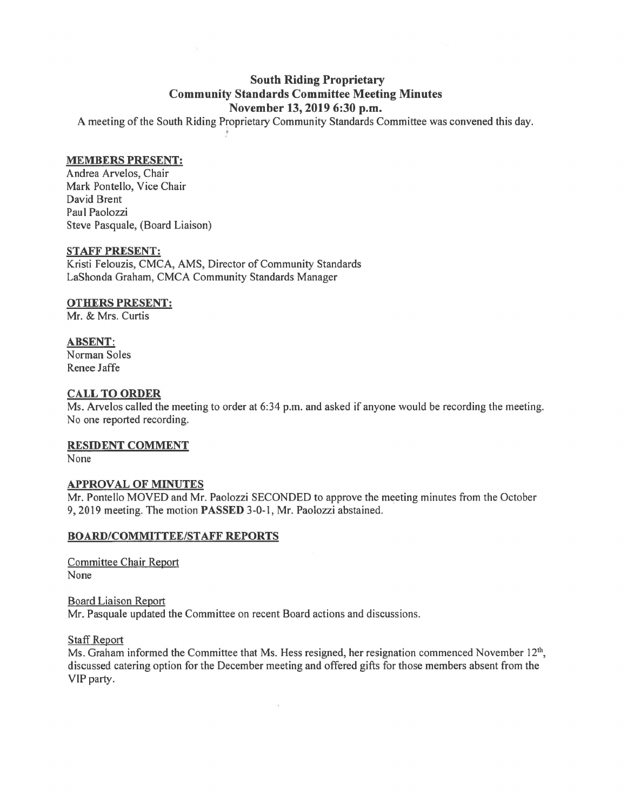# **South Riding Proprietary Community Standards Committee Meeting Minutes November 13, 2019 6:30 p.m.**

A meeting of the South Riding Proprietary Community Standards Committee was convened this day . •

### **MEMBERS PRESENT:**

Andrea Arvelos, Chair Mark Pontello, Vice Chair David Brent Paul Paolozzi Steve Pasquale, (Board Liaison)

#### **STAFF PRESENT:**

Kristi Felouzis, CMCA, AMS, Director of Community Standards LaShonda Graham, CMCA Community Standards Manager

#### **OTHERS PRESENT:**

Mr. & Mrs. Curtis

## **ABSENT:**

Norman Soles Renee Jaffe

## **CALL TO ORDER**

Ms. Arvelos called the meeting to order at 6:34 p.m. and asked if anyone would be recording the meeting. No one reported recording.

#### **RESIDENT COMMENT**

None

## **APPROVAL OF MINUTES**

Mr. Pontello MOVED and Mr. Paolozzi SECONDED to approve the meeting minutes from the October 9, 2019 meeting. The motion **PASSED** 3-0-1, Mr. Paolozzi abstained.

## **BOARD/COMMITTEE/STAFF REPORTS**

Committee Chair Report None

Board Liaison Report Mr. Pasquale updated the Committee on recent Board actions and discussions.

Staff Report

Ms. Graham informed the Committee that Ms. Hess resigned, her resignation commenced November 12<sup>th</sup>, discussed catering option for the December meeting and offered gifts for those members absent from the VIP party.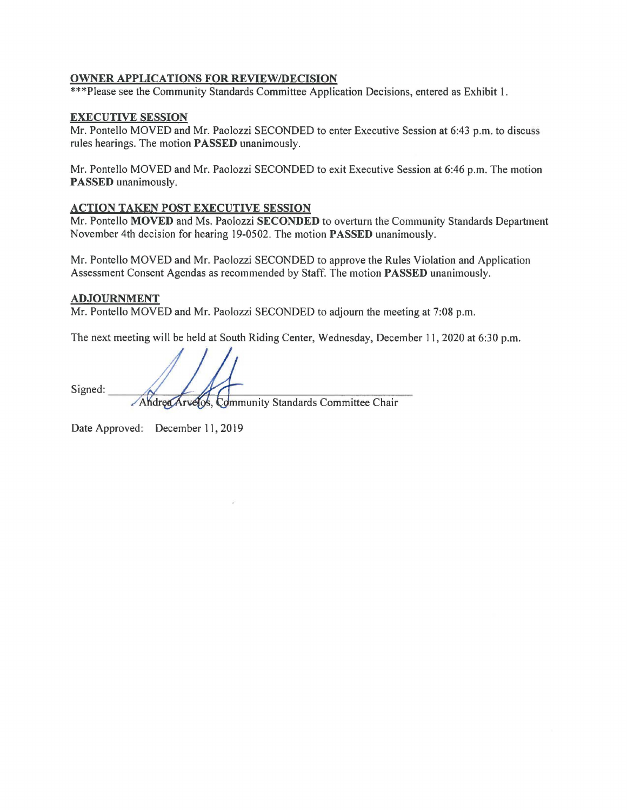## **OWNER APPLICATIONS FOR REVIEW/DECISION**

\*\*\*Please see the Community Standards Committee Application Decisions, entered as Exhibit 1.

### **EXECUTIVE SESSION**

Mr. Pontello MOVED and Mr. Paolozzi SECONDED to enter Executive Session at 6:43 p.m. to discuss rules hearings. The motion **PASSED** unanimously.

Mr. Pontello MOVED and Mr. Paolozzi SECONDED to exit Executive Session at 6:46 p.m. The motion **PASSED** unanimously.

#### **ACTION TAKEN POST EXECUTIVE SESSION**

Mr. Pontello **MOVED** and Ms. Paolozzi **SECONDED** to overturn the Community Standards Department November 4th decision for hearing 19-0502. The motion **PASSED** unanimously.

Mr. Pontello MOVED and Mr. Paolozzi SECONDED to approve the Rules Violation and Application Assessment Consent Agendas as recommended by Staff. The motion **PASSED** unanimously.

#### **ADJOURNMENT**

Mr. Pontello MOVED and Mr. Paolozzi SECONDED to adjourn the meeting at 7:08 p.m.

The next meeting will be held at South Riding Center, Wednesday, December 11, 2020 at 6:30 p.m.

Signed:

Andrea Arvelos, Community Standards Committee Chair

Date Approved: December 11, 2019